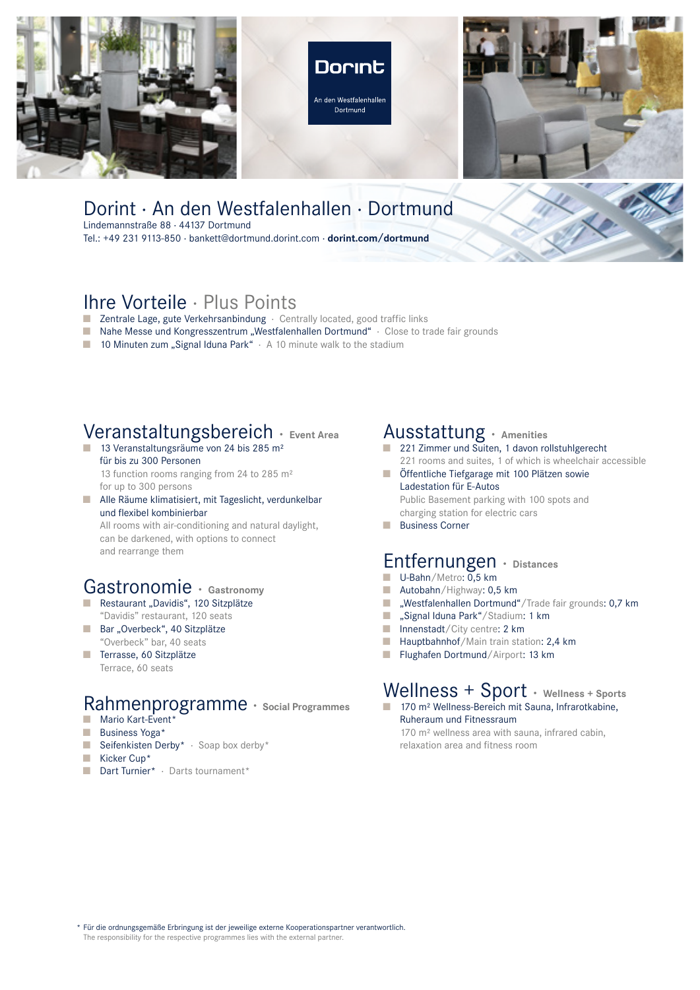





#### Dorint · An den Westfalenhallen · Dortmund Lindemannstraße 88 · 44137 Dortmund

Tel.: +49 231 9113-850 · bankett@dortmund.dorint.com · **dorint.com/dortmund**

# Ihre Vorteile · Plus Points

- Zentrale Lage, gute Verkehrsanbindung · Centrally located, good traffic links
- Nahe Messe und Kongresszentrum "Westfalenhallen Dortmund" · Close to trade fair grounds
- 10 Minuten zum "Signal Iduna Park" · A 10 minute walk to the stadium

## Veranstaltungsbereich · **Event Area**

- 13 Veranstaltungsräume von 24 bis 285 m<sup>2</sup> für bis zu 300 Personen 13 function rooms ranging from 24 to 285 m<sup>2</sup> for up to 300 persons
- Alle Räume klimatisiert, mit Tageslicht, verdunkelbar und flexibel kombinierbar

All rooms with air-conditioning and natural daylight, can be darkened, with options to connect and rearrange them

# Gastronomie · **Gastronomy**

- Restaurant "Davidis", 120 Sitzplätze "Davidis" restaurant, 120 seats
- Bar "Overbeck", 40 Sitzplätze "Overbeck" bar, 40 seats
- Terrasse, 60 Sitzplätze Terrace, 60 seats

#### Rahmenprogramme · Social Programmes Mario Kart-Event<sup>\*</sup>

- Business Yoga\*
- 
- Seifenkisten Derby\* · Soap box derby\*
- Kicker Cup\*
- Dart Turnier\* · Darts tournament\*

## Ausstattung · **Amenities**

- 221 Zimmer und Suiten, 1 davon rollstuhlgerecht 221 rooms and suites, 1 of which is wheelchair accessible
- Öffentliche Tiefgarage mit 100 Plätzen sowie Ladestation für E-Autos Public Basement parking with 100 spots and
- charging station for electric cars
- **Business Corner**

### Entfernungen · **Distances**

- U-Bahn/Metro: 0,5 km
- Autobahn/Highway: 0,5 km
- "Westfalenhallen Dortmund"/Trade fair grounds: 0,7 km
- "Signal Iduna Park"/Stadium: 1 km
- Innenstadt/City centre: 2 km
- Hauptbahnhof/Main train station: 2,4 km
- Flughafen Dortmund/Airport: 13 km

# Wellness + Sport · **Wellness + Sports**

■ 170 m<sup>2</sup> Wellness-Bereich mit Sauna, Infrarotkabine, Ruheraum und Fitnessraum 170 m² wellness area with sauna, infrared cabin,

relaxation area and fitness room

\* Für die ordnungsgemäße Erbringung ist der jeweilige externe Kooperationspartner verantwortlich. The responsibility for the respective programmes lies with the external partner.